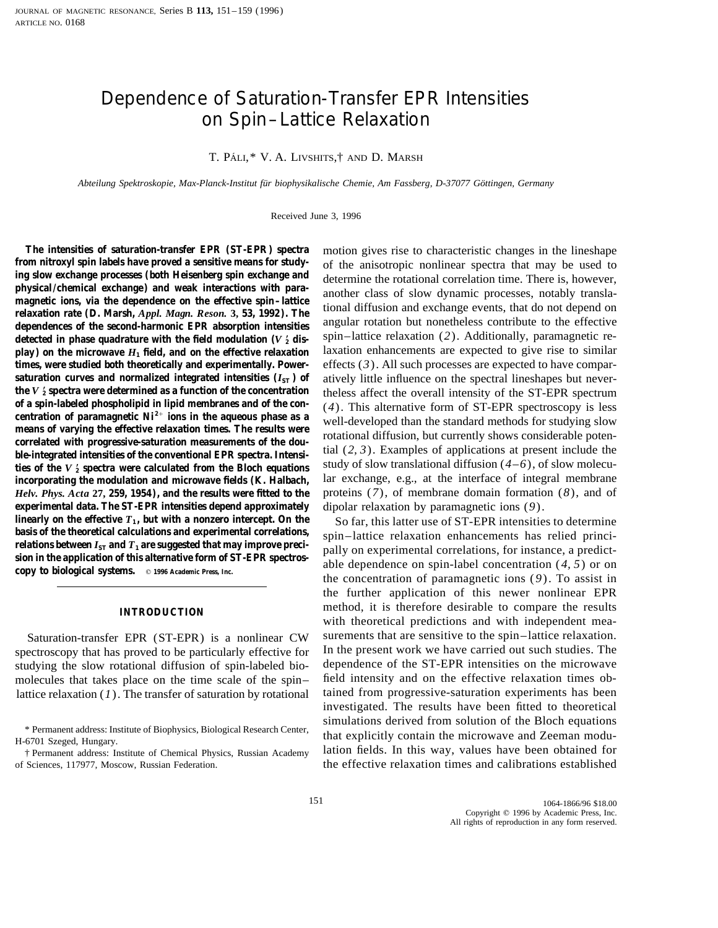# Dependence of Saturation-Transfer EPR Intensities on Spin–Lattice Relaxation

## T. PÁLI,\* V. A. LIVSHITS,† AND D. MARSH

*Abteilung Spektroskopie, Max-Planck-Institut fu¨r biophysikalische Chemie, Am Fassberg, D-37077 Go¨ttingen, Germany*

Received June 3, 1996

from nitroxyl spin labels have proved a sensitive means for study-<br>ing slow exchange processes (both Heisenberg spin exchange and<br>physical/chemical exchange) and weak interactions with para-<br>physical/chemical exchange) an detected in phase quadrature with the field modulation  $(V_2)$  dis**play) on the microwave**  $H_1$  **field, and on the effective relaxation** laxation enhancements are expected to give rise to similar **times, were studied both theoretically and experimentally. Power-** effects  $(3)$ . All such processes are expected to have compar**saturation curves and normalized integrated intensities**  $(I_{ST})$  **of atively little influence on the spectral lineshapes but never**the  $V_2'$  spectra were determined as a function of the concentration **2 the V**<sub>2</sub> **spectra were determined as a function of the concentration** theless affect the overall intensity of the ST-EPR spectrum of a spin-labeled phospholipid in lipid membranes and of the con-<br>
(4) This alternativ of a spin-labeled phospholipid in lipid membranes and of the con-<br>centration of paramagnetic Ni<sup>2+</sup> ions in the aqueous phase as a<br>means of varying the effective relaxation times. The results were<br>correlated with progress **2** ties of the  $V_2$  spectra were calculated from the Bloch equations **incorporating the modulation and microwave fields (K. Halbach,** lar exchange, e.g., at the interface of integral membrane *Helv. Phys. Acta* **27, 259, 1954), and the results were fitted to the** proteins (*7*), of membrane domain formation (*8*), and of **experimental data. The ST-EPR intensities depend approximately** dipolar relaxation by paramagnetic ions (9).<br>**linearly on the effective T<sub>1</sub>, but with a nonzero intercept. On the** So far this latter use of ST-FPR intensit **linearly on the effective**  $T_1$ **, but with a nonzero intercept. On the** So far, this latter use of ST-EPR intensities to determine basis of the theoretical calculations and experimental correlations, spin-lattice relaxatio basis of the theoretical calculations and experimental correlations,<br>relations between  $I_{ST}$  and  $T_1$  are suggested that may improve preci-<br>sion in the application of this alternative form of ST-EPR spectros-<br>copy to bi

spectroscopy that has proved to be particularly effective for studying the slow rotational diffusion of spin-labeled bio- dependence of the ST-EPR intensities on the microwave molecules that takes place on the time scale of the spin– field intensity and on the effective relaxation times oblattice relaxation (*1*). The transfer of saturation by rotational tained from progressive-saturation experiments has been

**The intensities of saturation-transfer EPR (ST-EPR) spectra** motion gives rise to characteristic changes in the lineshape

the concentration of paramagnetic ions (*9*). To assist in the further application of this newer nonlinear EPR method, it is therefore desirable to compare the results **INTRODUCTION** with theoretical predictions and with independent mea-Saturation-transfer EPR (ST-EPR) is a nonlinear CW surements that are sensitive to the spin–lattice relaxation.<br>ectroscopy that has proved to be particularly effective for In the present work we have carried out such studi investigated. The results have been fitted to theoretical \* Permanent address: Institute of Biophysics, Biological Research Center,<br>H-6701 Szeged, Hungary.<br>† Permanent address: Institute of Chemical Physics, Russian Academy lation fields. In this way, values have been obtained fo of Sciences, 117977, Moscow, Russian Federation. the effective relaxation times and calibrations established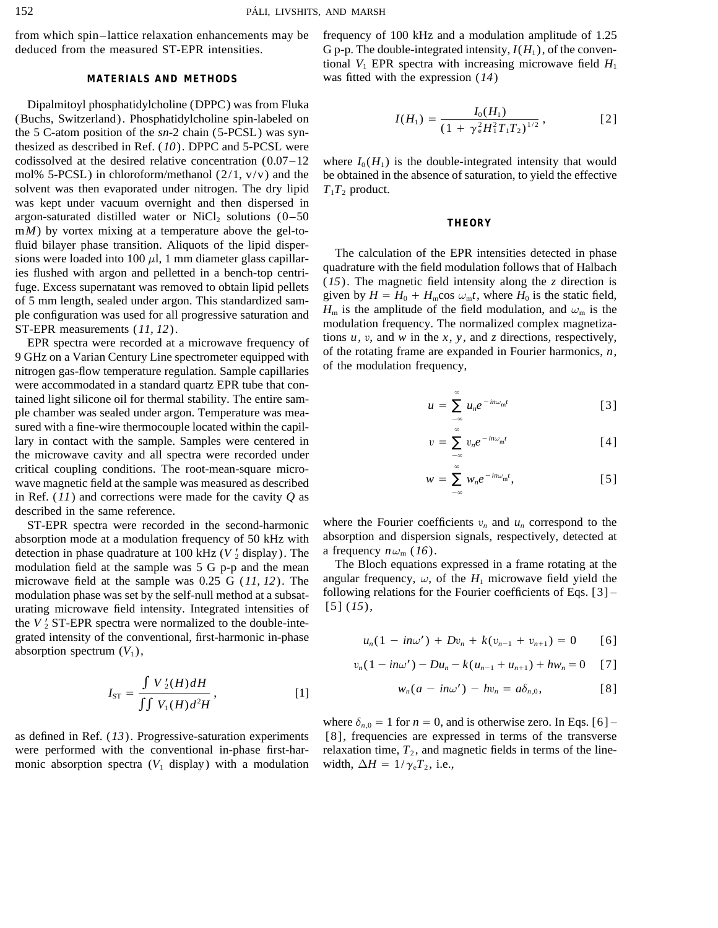deduced from the measured ST-EPR intensities. G p-p. The double-integrated intensity,  $I(H_1)$ , of the conven-

Dipalmitoyl phosphatidylcholine (DPPC) was from Fluka (Buchs, Switzerland). Phosphatidylcholine spin-labeled on the 5 C-atom position of the *sn*-2 chain (5-PCSL) was synthesized as described in Ref. (*10*). DPPC and 5-PCSL were codissolved at the desired relative concentration  $(0.07-12$  where  $I_0(H_1)$  is the double-integrated intensity that would solvent was then evaporated under nitrogen. The dry lipid  $T_1T_2$  product. was kept under vacuum overnight and then dispersed in argon-saturated distilled water or  $NiCl<sub>2</sub>$  solutions  $(0-50$  **THEORY** m*M*) by vortex mixing at a temperature above the gel-to-

were accommodated in a standard quartz EPR tube that contained light silicone oil for thermal stability. The entire sample chamber was sealed under argon. Temperature was measured with a fine-wire thermocouple located within the capillary in contact with the sample. Samples were centered in the microwave cavity and all spectra were recorded under critical coupling conditions. The root-mean-square microwave magnetic field at the sample was measured as described in Ref. (*11*) and corrections were made for the cavity *Q* as described in the same reference.

absorption mode at a modulation frequency of 50 kHz with absorption and dispersion signals, respectively, detected at detection in phase quadrature at 100 kHz ( $V_2$  display). The a frequency  $n\omega_m$  (16). modulation field at the sample was 5 G p-p and the mean The Bloch equations expressed in a frame rotating at the microwave field at the sample was 0.25 G (11, 12). The angular frequency,  $\omega$ , of the  $H_1$  microwave field yield the modulation phase was set by the self-null method at a subsat-<br>following relations for the Fourier coefficients of Eqs. [3] – urating microwave field intensity. Integrated intensities of  $[5] (15)$ , the  $V_2'$  ST-EPR spectra were normalized to the double-integrated intensity of the conventional, first-harmonic in-phase absorption spectrum  $(V_1)$ ,

$$
I_{\rm ST} = \frac{\int V'_2(H) dH}{\int \int V_1(H) d^2H},
$$
 [1]  $w_n(a - in\omega') - hv_n = a\delta_{n,0},$  [8]

monic absorption spectra ( $V_1$  display) with a modulation width,  $\Delta H = 1/\gamma_e T_2$ , i.e.,

from which spin–lattice relaxation enhancements may be frequency of 100 kHz and a modulation amplitude of 1.25 tional  $V_1$  EPR spectra with increasing microwave field  $H_1$ **MATERIALS AND METHODS** was fitted with the expression (*14*)

$$
I(H_1) = \frac{I_0(H_1)}{(1 + \gamma_e^2 H_1^2 T_1 T_2)^{1/2}},
$$
 [2]

mol% 5-PCSL) in chloroform/methanol  $(2/1, v/v)$  and the be obtained in the absence of saturation, to yield the effective

fluid bilayer phase transition. Aliquots of the lipid disper-<br>sions were loaded into 100  $\mu$ l, 1 mm diameter glass capillar-<br>ies flushed with argon and pelletted in a bench-top centri-<br>fuge. Excess supernatant was remove

$$
u = \sum_{-\infty}^{\infty} u_n e^{-i n \omega_{\rm m} t} \qquad [3]
$$

$$
v = \sum_{-\infty}^{\infty} v_n e^{-in\omega_{\rm m}t} \qquad [4]
$$

$$
w = \sum_{-\infty}^{\infty} w_n e^{-in\omega_m t}, \qquad [5]
$$

ST-EPR spectra were recorded in the second-harmonic where the Fourier coefficients  $v_n$  and  $u_n$  correspond to the

$$
u_n(1 - in\omega') + Dv_n + k(v_{n-1} + v_{n+1}) = 0
$$
 [6]

$$
v_n(1 - in\omega') - Du_n - k(u_{n-1} + u_{n+1}) + hw_n = 0
$$
 [7]

$$
w_n(a - in\omega') - hv_n = a\delta_{n,0}, \qquad [8]
$$

where  $\delta_{n,0} = 1$  for  $n = 0$ , and is otherwise zero. In Eqs. [6] – as defined in Ref. (*13*). Progressive-saturation experiments [8], frequencies are expressed in terms of the transverse were performed with the conventional in-phase first-har- relaxation time,  $T_2$ , and magnetic fields in terms of the line-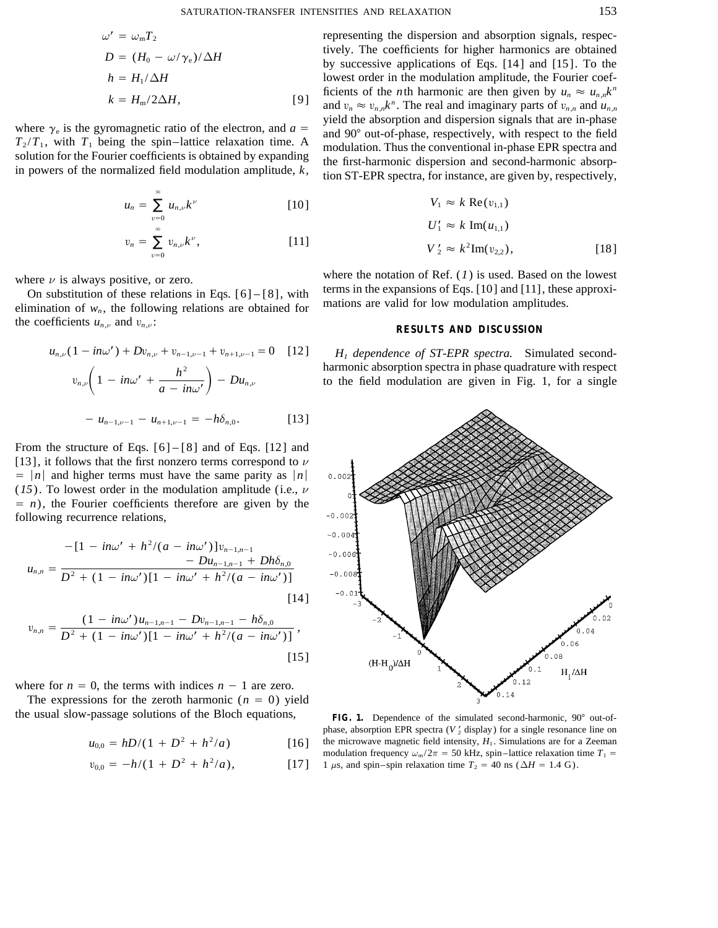$$
\omega' = \omega_{\rm m} T_2
$$
  
\n
$$
D = (H_0 - \omega/\gamma_{\rm e})/\Delta H
$$
  
\n
$$
h = H_1/\Delta H
$$
  
\n
$$
k = H_{\rm m}/2\Delta H,
$$
 [9]

$$
u_n = \sum_{v=0}^{\infty} u_{n,v} k^v
$$
 [10]  $V_1 \approx k \operatorname{Re}(v_{1,1})$ 

$$
v_n = \sum_{v=0}^{\infty} v_{n,\nu} k^{\nu}, \qquad [11] \qquad V_2'
$$

elimination of  $w_n$ , the following relations are obtained for the coefficients  $u_{n,\nu}$  and  $v_{n,\nu}$ : **RESULTS AND DISCUSSION** 

$$
u_{n,\nu}(1 - in\omega') + Dv_{n,\nu} + v_{n-1,\nu-1} + v_{n+1,\nu-1} = 0 \quad [12]
$$
  

$$
v_{n,\nu}\left(1 - in\omega' + \frac{h^2}{a - in\omega'}\right) - Du_{n,\nu}
$$
  

$$
- u_{n-1,\nu-1} - u_{n+1,\nu-1} = -h\delta_{n,0}.
$$
 [13]

From the structure of Eqs. [6] – [8] and of Eqs. [12] and [13], it follows that the first nonzero terms correspond to  $\nu$  $= |n|$  and higher terms must have the same parity as  $|n|$  $(15)$ . To lowest order in the modulation amplitude (i.e.,  $\nu$  $= n$ ), the Fourier coefficients therefore are given by the following recurrence relations,

$$
u_{n,n} = \frac{-[1 - in\omega' + h^2/(a - in\omega')]v_{n-1,n-1}}{D^2 + (1 - in\omega')[1 - in\omega' + h^2/(a - in\omega')]}
$$
  
[14]

$$
v_{n,n} = \frac{(1 - in\omega')u_{n-1,n-1} - Dv_{n-1,n-1} - h\delta_{n,0}}{D^2 + (1 - in\omega')[1 - in\omega' + h^2/(a - in\omega')]},
$$
\n[15]

where for  $n = 0$ , the terms with indices  $n - 1$  are zero.

The expressions for the zeroth harmonic  $(n = 0)$  yield the usual slow-passage solutions of the Bloch equations, FIG. 1. Dependence of the simulated second-harmonic, 90° out-of-

$$
u_{0,0} = hD/(1 + D^2 + h^2/a) \tag{16}
$$

$$
v_{0,0} = -h/(1 + D^2 + h^2/a), \qquad [17]
$$

representing the dispersion and absorption signals, respectively. The coefficients for higher harmonics are obtained by successive applications of Eqs. [14] and [15]. To the *h* lowest order in the modulation amplitude, the Fourier coefficients of the *n*th harmonic are then given by  $u_n \approx u_{n,n}k^n$  $k = H_m/2\Delta H$ , [9] and  $v_n \approx v_{n,n}k^n$ . The real and imaginary parts of  $v_{n,n}$  and  $u_{n,n}$ where  $\gamma_e$  is the gyromagnetic ratio of the electron, and  $a = T_2/T_1$ , with  $T_1$  being the spin-lattice relaxation time. A<br>solution for the Fourier coefficients is obtained by expanding<br>in powers of the normalized field

$$
V_1 \approx k \operatorname{Re}(v_{1,1})
$$
  
\n
$$
U'_1 \approx k \operatorname{Im}(u_{1,1})
$$
  
\n
$$
V'_2 \approx k^2 \operatorname{Im}(v_{2,2}),
$$
\n[18]

where  $\nu$  is always positive, or zero.<br>On substitution of these relations in Eqs. [6] – [8], with terms in the expansions of Eqs. [10] and [11], these approxi-<br>elimination of w the following relations are obtained for th

*H<sub>1</sub>* dependence of ST-EPR spectra. Simulated secondharmonic absorption spectra in phase quadrature with respect<br>to the field modulation are given in Fig. 1, for a single



phase, absorption EPR spectra  $(V_2'$  display) for a single resonance line on the microwave magnetic field intensity,  $H_1$ . Simulations are for a Zeeman modulation frequency  $\omega_{\rm m}/2\pi = 50$  kHz, spin–lattice relaxation time  $T_1$  = 1  $\mu$ s, and spin–spin relaxation time  $T_2 = 40$  ns ( $\Delta H = 1.4$  G).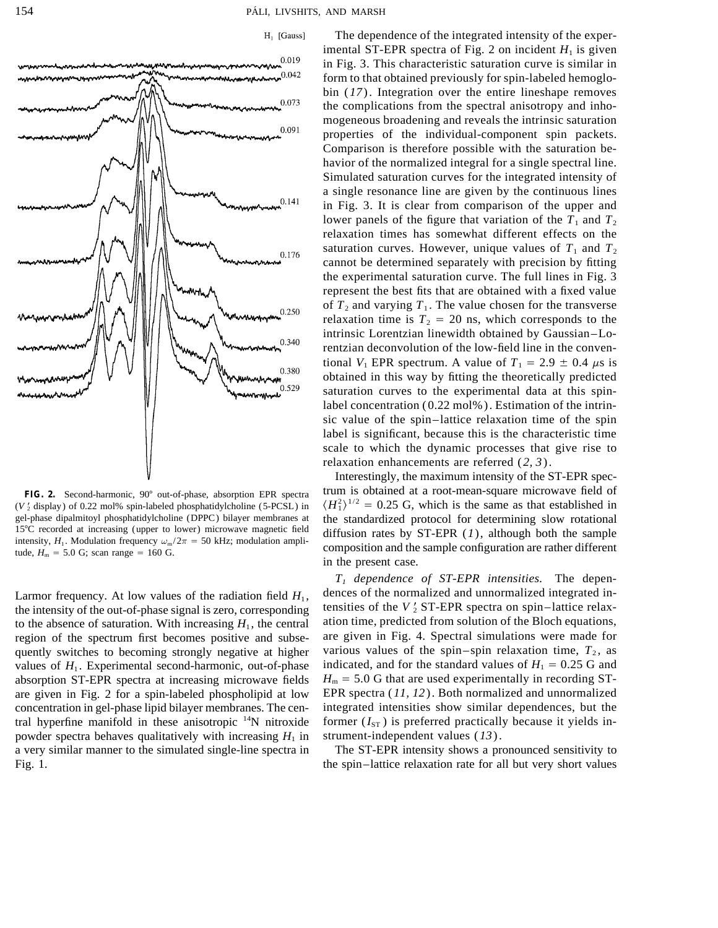



 $(V_2$  display) of 0.22 mol% spin-labeled phosphatidylcholine (5-PCSL) in gel-phase dipalmitoyl phosphatidylcholine (DPPC) bilayer membranes at

the intensity of the out-of-phase signal is zero, corresponding tensities of the  $V_2$  ST-EPR spectra on spin–lattice relax-<br>to the absence of saturation With increasing H, the central ation time, predicted from solution to the absence of saturation. With increasing  $H_1$ , the central region of the spectrum first becomes positive and subse- are given in Fig. 4. Spectral simulations were made for quently switches to becoming strongly negative at higher various values of the spin–spin relaxation time,  $T_2$ , as values of  $H_1$ . Experimental second-harmonic, out-of-phase indicated, and for the standard values of  $H_1 = 0.25$  G and absorption ST-EPR spectra at increasing microwave fields  $H_m = 5.0$  G that are used experimentally in recording STare given in Fig. 2 for a spin-labeled phospholipid at low EPR spectra (*11, 12*). Both normalized and unnormalized concentration in gel-phase lipid bilayer membranes. The cen- integrated intensities show similar dependences, but the tral hyperfine manifold in these anisotropic  $^{14}N$  nitroxide former ( $I_{ST}$ ) is preferred practically because it yields inpowder spectra behaves qualitatively with increasing  $H_1$  in strument-independent values (13). a very similar manner to the simulated single-line spectra in The ST-EPR intensity shows a pronounced sensitivity to Fig. 1. the spin–lattice relaxation rate for all but very short values

The dependence of the integrated intensity of the experimental ST-EPR spectra of Fig. 2 on incident  $H_1$  is given in Fig. 3. This characteristic saturation curve is similar in form to that obtained previously for spin-labeled hemoglobin (*17*). Integration over the entire lineshape removes the complications from the spectral anisotropy and inhomogeneous broadening and reveals the intrinsic saturation properties of the individual-component spin packets. Comparison is therefore possible with the saturation behavior of the normalized integral for a single spectral line. Simulated saturation curves for the integrated intensity of a single resonance line are given by the continuous lines in Fig. 3. It is clear from comparison of the upper and lower panels of the figure that variation of the  $T_1$  and  $T_2$ relaxation times has somewhat different effects on the saturation curves. However, unique values of  $T_1$  and  $T_2$ cannot be determined separately with precision by fitting the experimental saturation curve. The full lines in Fig. 3 represent the best fits that are obtained with a fixed value of  $T_2$  and varying  $T_1$ . The value chosen for the transverse relaxation time is  $T_2 = 20$  ns, which corresponds to the intrinsic Lorentzian linewidth obtained by Gaussian–Lorentzian deconvolution of the low-field line in the conventional *V*<sub>1</sub> EPR spectrum. A value of  $T_1 = 2.9 \pm 0.4 \mu s$  is obtained in this way by fitting the theoretically predicted saturation curves to the experimental data at this spinlabel concentration (0.22 mol%). Estimation of the intrinsic value of the spin–lattice relaxation time of the spin label is significant, because this is the characteristic time scale to which the dynamic processes that give rise to relaxation enhancements are referred (*2, 3*).

Interestingly, the maximum intensity of the ST-EPR spec-FIG. 2. Second-harmonic, 90° out-of-phase, absorption EPR spectra trum is obtained at a root-mean-square microwave field of  $\chi^2$  display) of 0.22 mol% spin-labeled phosphatidylcholine (5-PCSL) in  $\langle H_1^2 \rangle^{1/2} = 0.25$  G, which is the same as that established in gel-phase dipalmitoyl phosphatidylcholine (DPPC) bilayer membranes at the standardized protocol for determining slow rotational 15°C recorded at increasing (upper to lower) microwave magnetic field diffusion rates by  $STEDP$ 15°C recorded at increasing (upper to lower) microwave magnetic field<br>intensity,  $H_1$ . Modulation frequency  $\omega_m/2\pi = 50$  kHz; modulation ampli-<br>tude,  $H_m = 5.0$  G; scan range = 160 G. in the present case.

*T1 dependence of ST-EPR intensities.* The depen-Larmor frequency. At low values of the radiation field  $H_1$ , dences of the normalized and unnormalized integrated in-<br>the intensity of the out-of-phase signal is zero, corresponding tensities of the  $V_2$  ST-EPR spectra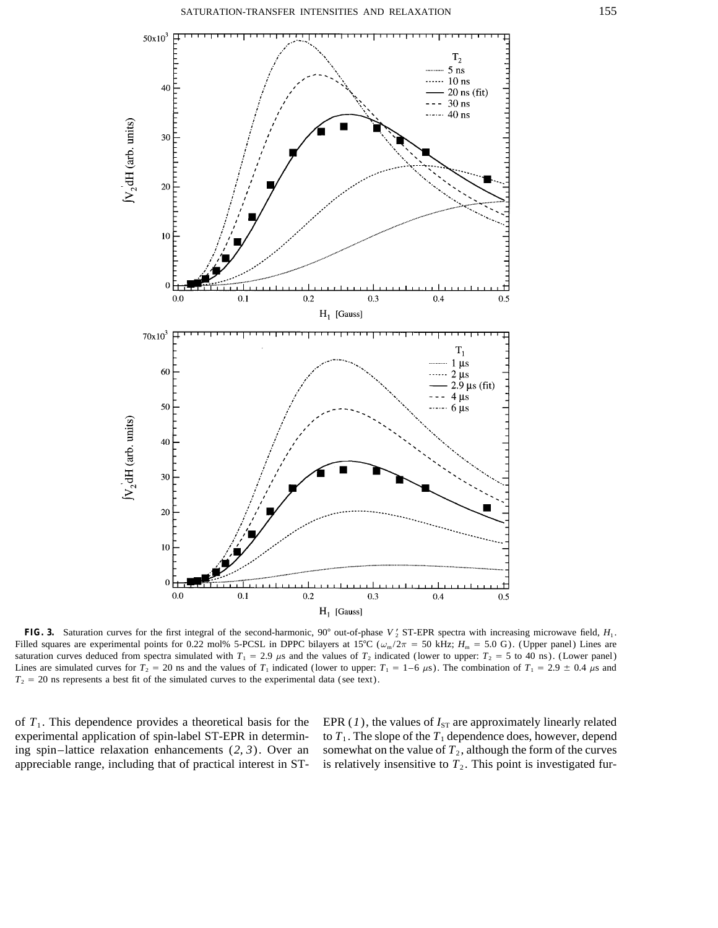

**FIG. 3.** Saturation curves for the first integral of the second-harmonic, 90° out-of-phase *V*<sub>2</sub> ST-EPR spectra with increasing microwave field,  $H_1$ . Filled squares are experimental points for 0.22 mol% 5-PCSL in DPPC bilayers at 15°C ( $\omega_m/2\pi = 50$  kHz;  $H_m = 5.0$  G). (Upper panel) Lines are saturation curves deduced from spectra simulated with  $T_1 = 2.9 \mu s$  and the values of  $T_2$  indicated (lower to upper:  $T_2 = 5$  to 40 ns). (Lower panel) Lines are simulated curves for  $T_2 = 20$  ns and the values of  $T_1$  indicated (lower to upper:  $T_1 = 1-6 \mu s$ ). The combination of  $T_1 = 2.9 \pm 0.4 \mu s$  and  $T_2 = 20$  ns represents a best fit of the simulated curves to the experimental data (see text).

of  $T_1$ . This dependence provides a theoretical basis for the EPR (1), the values of  $I_{ST}$  are approximately linearly related experimental application of spin-label ST-EPR in determin- to  $T_1$ . The slope of the  $T_1$  dependence does, however, depend ing spin–lattice relaxation enhancements  $(2, 3)$ . Over an somewhat on the value of  $T_2$ , although the form of the curves appreciable range, including that of practical interest in  $ST-$  is relatively insensitive to  $T<sub>2</sub>$ . This point is investigated fur-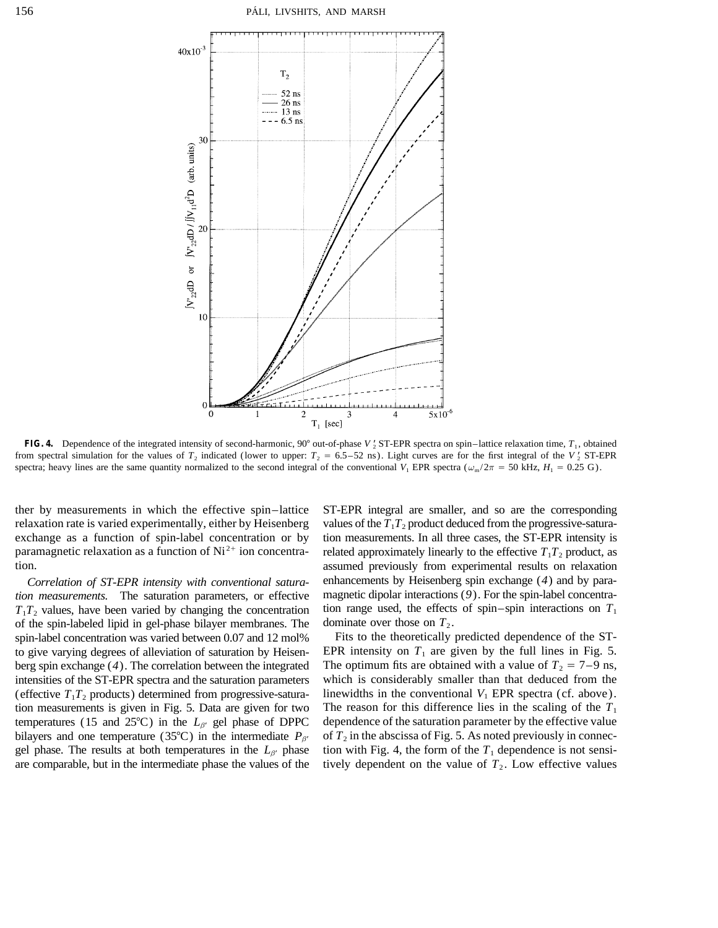

**FIG. 4.** Dependence of the integrated intensity of second-harmonic,  $90^{\circ}$  out-of-phase *V*<sub>2</sub> ST-EPR spectra on spin–lattice relaxation time,  $T_1$ , obtained from spectral simulation for the values of  $T_2$  indicated (lower to upper:  $T_2 = 6.5-52$  ns). Light curves are for the first integral of the  $V'_2$  ST-EPR spectra; heavy lines are the same quantity normalized to the second integral of the conventional  $V_1$  EPR spectra ( $\omega_{\rm m}/2\pi = 50$  kHz,  $H_1 = 0.25$  G).

of the spin-labeled lipid in gel-phase bilayer membranes. The dominate over those on  $T_2$ .

ther by measurements in which the effective spin–lattice ST-EPR integral are smaller, and so are the corresponding relaxation rate is varied experimentally, either by Heisenberg values of the  $T_1T_2$  product deduced from the progressive-saturaexchange as a function of spin-label concentration or by tion measurements. In all three cases, the ST-EPR intensity is paramagnetic relaxation as a function of Ni<sup>2+</sup> ion concentra- related approximately linearly to the effective  $T_1T_2$  product, as tion. assumed previously from experimental results on relaxation *Correlation of ST-EPR intensity with conventional satura-* enhancements by Heisenberg spin exchange (*4*) and by para*tion measurements.* The saturation parameters, or effective magnetic dipolar interactions (*9*). For the spin-label concentra- $T_1T_2$  values, have been varied by changing the concentration tion range used, the effects of spin–spin interactions on  $T_1$ 

spin-label concentration was varied between 0.07 and 12 mol% Fits to the theoretically predicted dependence of the STto give varying degrees of alleviation of saturation by Heisen- EPR intensity on  $T_1$  are given by the full lines in Fig. 5. berg spin exchange (4). The correlation between the integrated The optimum fits are obtained with a value of  $T_2 = 7-9$  ns, intensities of the ST-EPR spectra and the saturation parameters which is considerably smaller than that deduced from the (effective  $T_1T_2$  products) determined from progressive-satura-<br>linewidths in the conventional  $V_1$  EPR spectra (cf. above). tion measurements is given in Fig. 5. Data are given for two The reason for this difference lies in the scaling of the  $T_1$ temperatures (15 and 25<sup>o</sup>C) in the  $L_{\beta'}$  gel phase of DPPC dependence of the saturation parameter by the effective value bilayers and one temperature (35<sup>o</sup>C) in the intermediate  $P_{\beta'}$  of  $T_2$  in the abscissa of Fig. 5. As noted previously in connecgel phase. The results at both temperatures in the  $L_{\beta'}$  phase tion with Fig. 4, the form of the  $T_1$  dependence is not sensiare comparable, but in the intermediate phase the values of the tively dependent on the value of  $T_2$ . Low effective values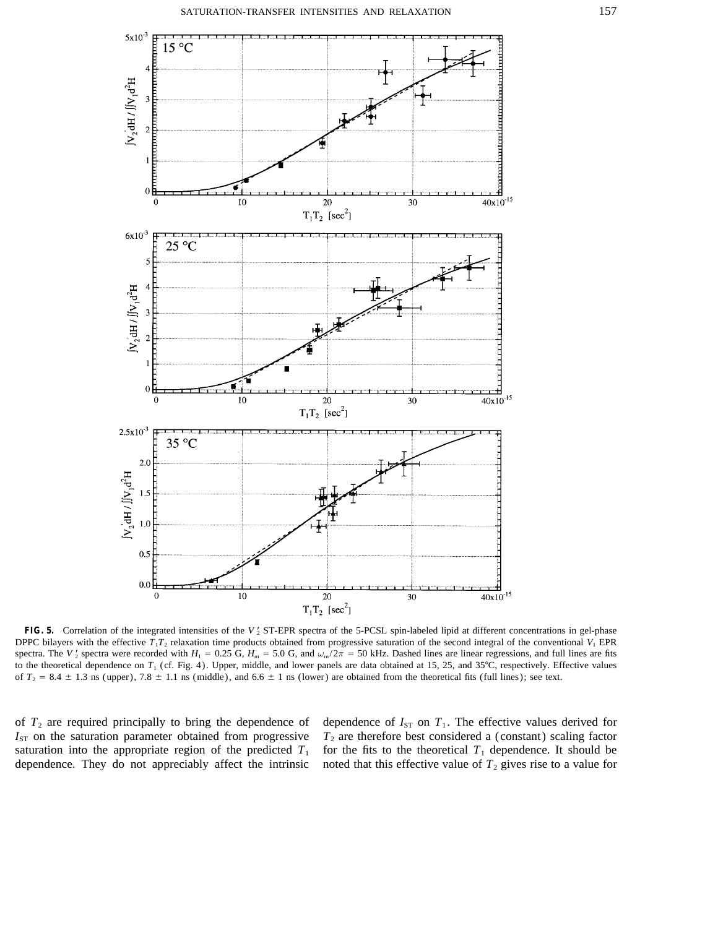

FIG. 5. Correlation of the integrated intensities of the *V*<sup>2</sup> ST-EPR spectra of the 5-PCSL spin-labeled lipid at different concentrations in gel-phase DPPC bilayers with the effective  $T_1T_2$  relaxation time products obtained from progressive saturation of the second integral of the conventional  $V_1$  EPR spectra. The *V*<sub>2</sub> spectra were recorded with  $H_1 = 0.25$  G,  $H_m = 5.0$  G, and  $\omega_m/2\pi = 50$  kHz. Dashed lines are linear regressions, and full lines are fits to the theoretical dependence on  $T_1$  (cf. Fig. 4). Upper, middle, and lower panels are data obtained at 15, 25, and 35°C, respectively. Effective values of  $T_2 = 8.4 \pm 1.3$  ns (upper),  $7.8 \pm 1.1$  ns (middle), and  $6.6 \pm 1$  ns (lower) are obtained from the theoretical fits (full lines); see text.

of  $T_2$  are required principally to bring the dependence of dependence of  $I_{ST}$  on  $T_1$ . The effective values derived for dependence. They do not appreciably affect the intrinsic noted that this effective value of  $T_2$  gives rise to a value for

 $I_{ST}$  on the saturation parameter obtained from progressive  $T_2$  are therefore best considered a (constant) scaling factor saturation into the appropriate region of the predicted  $T_1$  for the fits to the theoretical  $T_1$  dependence. It should be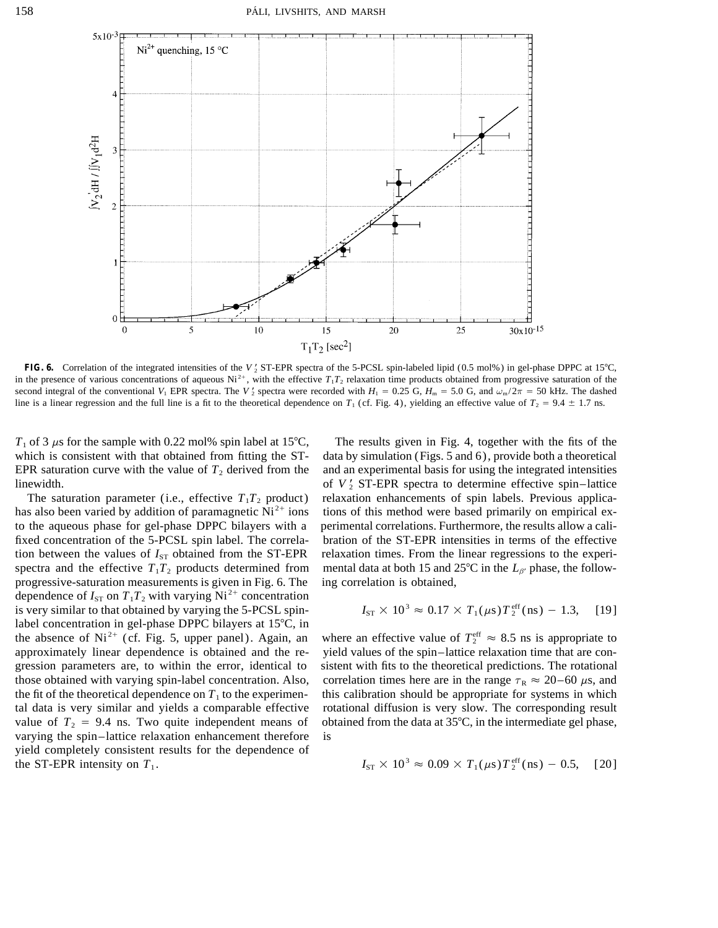

**FIG. 6.** Correlation of the integrated intensities of the  $V_2$  ST-EPR spectra of the 5-PCSL spin-labeled lipid (0.5 mol%) in gel-phase DPPC at 15°C, in the presence of various concentrations of aqueous Ni<sup>2+</sup>, with the effective  $T_1T_2$  relaxation time products obtained from progressive saturation of the second integral of the conventional  $V_1$  EPR spectra. The  $V_2$  spectra were recorded with  $H_1 = 0.25$  G,  $H_m = 5.0$  G, and  $\omega_m/2\pi = 50$  kHz. The dashed line is a linear regression and the full line is a fit to the theoretical dependence on  $T_1$  (cf. Fig. 4), yielding an effective value of  $T_2 = 9.4 \pm 1.7$  ns.

 $T_1$  of 3  $\mu$ s for the sample with 0.22 mol% spin label at 15°C, The results given in Fig. 4, together with the fits of the linewidth.

spectra and the effective  $T_1T_2$  products determined from mental data at both 15 and  $25^{\circ}$ C in the  $L_{\beta'}$  phase, the followprogressive-saturation measurements is given in Fig. 6. The ing correlation is obtained, dependence of  $I_{ST}$  on  $T_1T_2$  with varying Ni<sup>2+</sup> concentration is very similar to that obtained by varying the 5-PCSL spinlabel concentration in gel-phase DPPC bilayers at  $15^{\circ}$ C, in the absence of  $Ni^{2+}$  (cf. Fig. 5, upper panel). Again, an varying the spin–lattice relaxation enhancement therefore is yield completely consistent results for the dependence of the ST-EPR intensity on  $T_1$ .

which is consistent with that obtained from fitting the ST- data by simulation (Figs. 5 and 6), provide both a theoretical EPR saturation curve with the value of  $T_2$  derived from the and an experimental basis for using the integrated intensities of  $V<sub>2</sub>$  ST-EPR spectra to determine effective spin–lattice The saturation parameter (i.e., effective  $T_1T_2$  product) relaxation enhancements of spin labels. Previous applicahas also been varied by addition of paramagnetic  $Ni^{2+}$  ions of this method were based primarily on empirical exto the aqueous phase for gel-phase DPPC bilayers with a perimental correlations. Furthermore, the results allow a califixed concentration of the 5-PCSL spin label. The correla- bration of the ST-EPR intensities in terms of the effective tion between the values of  $I_{ST}$  obtained from the ST-EPR relaxation times. From the linear regressions to the experi-

$$
I_{ST} \times 10^3 \approx 0.17 \times T_1(\mu s) T_2^{\text{eff}}(\text{ns}) - 1.3,
$$
 [19]

where an effective value of  $T_2^{\text{eff}} \approx 8.5$  ns is appropriate to approximately linear dependence is obtained and the re- yield values of the spin–lattice relaxation time that are congression parameters are, to within the error, identical to sistent with fits to the theoretical predictions. The rotational those obtained with varying spin-label concentration. Also, correlation times here are in the range  $\tau_R \approx 20-60 \,\mu s$ , and the fit of the theoretical dependence on  $T_1$  to the experimen- this calibration should be appropriate for systems in which tal data is very similar and yields a comparable effective rotational diffusion is very slow. The corresponding result value of  $T_2 = 9.4$  ns. Two quite independent means of obtained from the data at 35°C, in the intermediate gel phase,

$$
I_{ST} \times 10^3 \approx 0.09 \times T_1(\mu s) T_2^{\text{eff}}(\text{ns}) - 0.5,
$$
 [20]